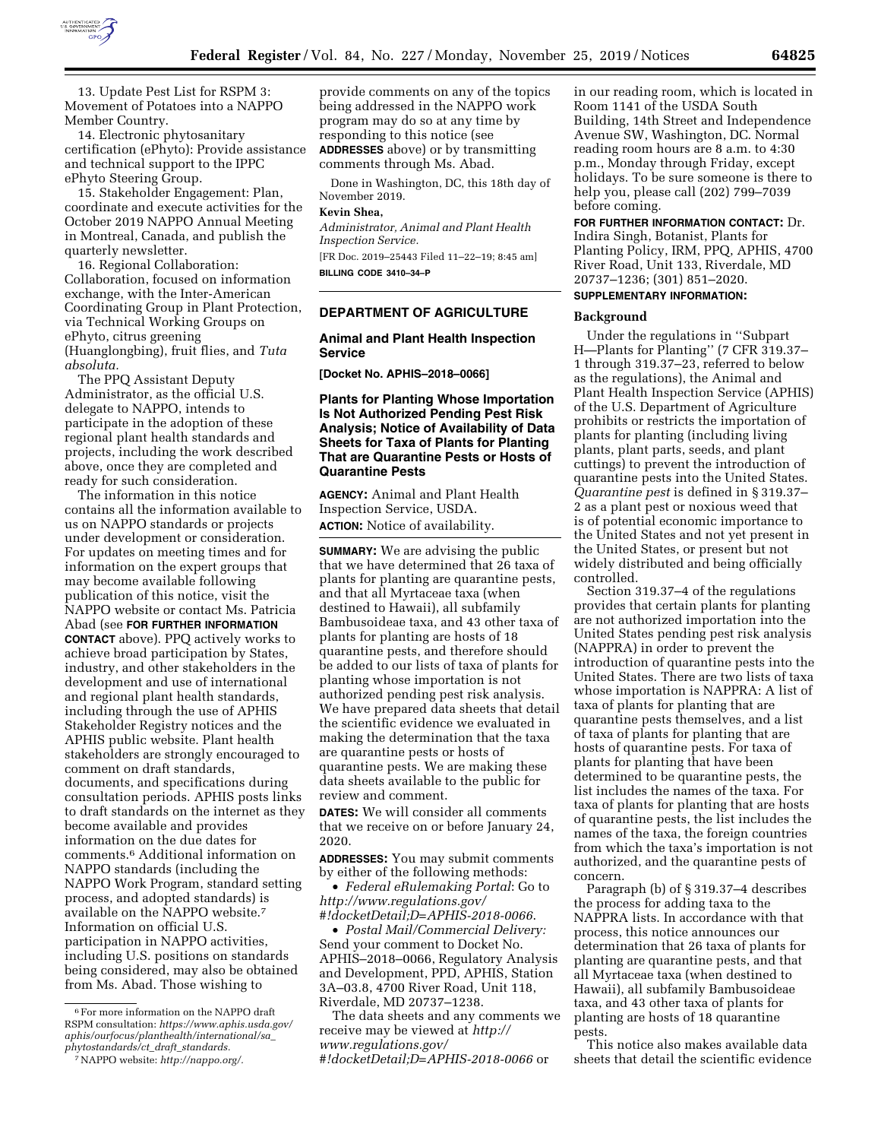

13. Update Pest List for RSPM 3: Movement of Potatoes into a NAPPO Member Country.

14. Electronic phytosanitary certification (ePhyto): Provide assistance and technical support to the IPPC ePhyto Steering Group.

15. Stakeholder Engagement: Plan, coordinate and execute activities for the October 2019 NAPPO Annual Meeting in Montreal, Canada, and publish the quarterly newsletter.

16. Regional Collaboration: Collaboration, focused on information exchange, with the Inter-American Coordinating Group in Plant Protection, via Technical Working Groups on ePhyto, citrus greening (Huanglongbing), fruit flies, and *Tuta absoluta.* 

The PPQ Assistant Deputy Administrator, as the official U.S. delegate to NAPPO, intends to participate in the adoption of these regional plant health standards and projects, including the work described above, once they are completed and ready for such consideration.

The information in this notice contains all the information available to us on NAPPO standards or projects under development or consideration. For updates on meeting times and for information on the expert groups that may become available following publication of this notice, visit the NAPPO website or contact Ms. Patricia Abad (see **FOR FURTHER INFORMATION CONTACT** above). PPQ actively works to achieve broad participation by States, industry, and other stakeholders in the development and use of international and regional plant health standards, including through the use of APHIS Stakeholder Registry notices and the APHIS public website. Plant health stakeholders are strongly encouraged to comment on draft standards, documents, and specifications during consultation periods. APHIS posts links to draft standards on the internet as they become available and provides information on the due dates for comments.6 Additional information on NAPPO standards (including the NAPPO Work Program, standard setting process, and adopted standards) is available on the NAPPO website.7 Information on official U.S. participation in NAPPO activities, including U.S. positions on standards being considered, may also be obtained from Ms. Abad. Those wishing to

provide comments on any of the topics being addressed in the NAPPO work program may do so at any time by responding to this notice (see **ADDRESSES** above) or by transmitting comments through Ms. Abad.

Done in Washington, DC, this 18th day of November 2019.

#### **Kevin Shea,**

*Administrator, Animal and Plant Health Inspection Service.*  [FR Doc. 2019–25443 Filed 11–22–19; 8:45 am] **BILLING CODE 3410–34–P** 

## **DEPARTMENT OF AGRICULTURE**

### **Animal and Plant Health Inspection Service**

**[Docket No. APHIS–2018–0066]** 

# **Plants for Planting Whose Importation Is Not Authorized Pending Pest Risk Analysis; Notice of Availability of Data Sheets for Taxa of Plants for Planting That are Quarantine Pests or Hosts of Quarantine Pests**

**AGENCY:** Animal and Plant Health Inspection Service, USDA. **ACTION:** Notice of availability.

**SUMMARY:** We are advising the public that we have determined that 26 taxa of plants for planting are quarantine pests, and that all Myrtaceae taxa (when destined to Hawaii), all subfamily Bambusoideae taxa, and 43 other taxa of plants for planting are hosts of 18 quarantine pests, and therefore should be added to our lists of taxa of plants for planting whose importation is not authorized pending pest risk analysis. We have prepared data sheets that detail the scientific evidence we evaluated in making the determination that the taxa are quarantine pests or hosts of quarantine pests. We are making these data sheets available to the public for review and comment.

**DATES:** We will consider all comments that we receive on or before January 24, 2020.

**ADDRESSES:** You may submit comments by either of the following methods:

• *Federal eRulemaking Portal*: Go to *[http://www.regulations.gov/](http://www.regulations.gov/#!docketDetail;D=APHIS-2018-0066)  [#!docketDetail;D=APHIS-2018-0066](http://www.regulations.gov/#!docketDetail;D=APHIS-2018-0066)*.

• *Postal Mail/Commercial Delivery:*  Send your comment to Docket No. APHIS–2018–0066, Regulatory Analysis and Development, PPD, APHIS, Station 3A–03.8, 4700 River Road, Unit 118, Riverdale, MD 20737–1238.

The data sheets and any comments we receive may be viewed at *[http://](http://www.regulations.gov/#!docketDetail;D=APHIS-2018-0066) [www.regulations.gov/](http://www.regulations.gov/#!docketDetail;D=APHIS-2018-0066)* 

*[#!docketDetail;D=APHIS-2018-0066](http://www.regulations.gov/#!docketDetail;D=APHIS-2018-0066)* or

in our reading room, which is located in Room 1141 of the USDA South Building, 14th Street and Independence Avenue SW, Washington, DC. Normal reading room hours are 8 a.m. to 4:30 p.m., Monday through Friday, except holidays. To be sure someone is there to help you, please call (202) 799–7039 before coming.

**FOR FURTHER INFORMATION CONTACT:** Dr. Indira Singh, Botanist, Plants for Planting Policy, IRM, PPQ, APHIS, 4700 River Road, Unit 133, Riverdale, MD 20737–1236; (301) 851–2020.

# **SUPPLEMENTARY INFORMATION:**

#### **Background**

Under the regulations in ''Subpart H—Plants for Planting'' (7 CFR 319.37– 1 through 319.37–23, referred to below as the regulations), the Animal and Plant Health Inspection Service (APHIS) of the U.S. Department of Agriculture prohibits or restricts the importation of plants for planting (including living plants, plant parts, seeds, and plant cuttings) to prevent the introduction of quarantine pests into the United States. *Quarantine pest* is defined in § 319.37– 2 as a plant pest or noxious weed that is of potential economic importance to the United States and not yet present in the United States, or present but not widely distributed and being officially controlled.

Section 319.37–4 of the regulations provides that certain plants for planting are not authorized importation into the United States pending pest risk analysis (NAPPRA) in order to prevent the introduction of quarantine pests into the United States. There are two lists of taxa whose importation is NAPPRA: A list of taxa of plants for planting that are quarantine pests themselves, and a list of taxa of plants for planting that are hosts of quarantine pests. For taxa of plants for planting that have been determined to be quarantine pests, the list includes the names of the taxa. For taxa of plants for planting that are hosts of quarantine pests, the list includes the names of the taxa, the foreign countries from which the taxa's importation is not authorized, and the quarantine pests of concern.

Paragraph (b) of § 319.37–4 describes the process for adding taxa to the NAPPRA lists. In accordance with that process, this notice announces our determination that 26 taxa of plants for planting are quarantine pests, and that all Myrtaceae taxa (when destined to Hawaii), all subfamily Bambusoideae taxa, and 43 other taxa of plants for planting are hosts of 18 quarantine pests.

This notice also makes available data sheets that detail the scientific evidence

<sup>6</sup>For more information on the NAPPO draft RSPM consultation: *[https://www.aphis.usda.gov/](https://www.aphis.usda.gov/aphis/ourfocus/planthealth/international/sa_phytostandards/ct_draft_standards) [aphis/ourfocus/planthealth/international/sa](https://www.aphis.usda.gov/aphis/ourfocus/planthealth/international/sa_phytostandards/ct_draft_standards)*\_ *[phytostandards/ct](https://www.aphis.usda.gov/aphis/ourfocus/planthealth/international/sa_phytostandards/ct_draft_standards)*\_*draft*\_*standards.* 

<sup>7</sup>NAPPO website: *[http://nappo.org/.](http://nappo.org/)*